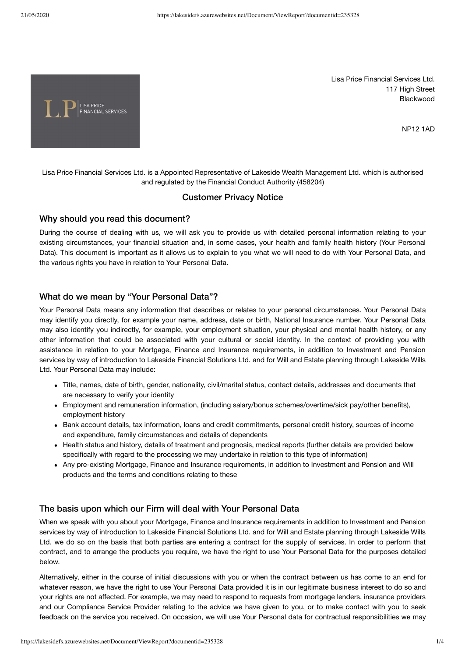

Lisa Price Financial Services Ltd. 117 High Street Blackwood

NP12 1AD

Lisa Price Financial Services Ltd. is a Appointed Representative of Lakeside Wealth Management Ltd. which is authorised and regulated by the Financial Conduct Authority (458204)

## Customer Privacy Notice

#### Why should you read this document?

During the course of dealing with us, we will ask you to provide us with detailed personal information relating to your existing circumstances, your financial situation and, in some cases, your health and family health history (Your Personal Data). This document is important as it allows us to explain to you what we will need to do with Your Personal Data, and the various rights you have in relation to Your Personal Data.

### What do we mean by "Your Personal Data"?

Your Personal Data means any information that describes or relates to your personal circumstances. Your Personal Data may identify you directly, for example your name, address, date or birth, National Insurance number. Your Personal Data may also identify you indirectly, for example, your employment situation, your physical and mental health history, or any other information that could be associated with your cultural or social identity. In the context of providing you with assistance in relation to your Mortgage, Finance and Insurance requirements, in addition to Investment and Pension services by way of introduction to Lakeside Financial Solutions Ltd. and for Will and Estate planning through Lakeside Wills Ltd. Your Personal Data may include:

- Title, names, date of birth, gender, nationality, civil/marital status, contact details, addresses and documents that are necessary to verify your identity
- Employment and remuneration information, (including salary/bonus schemes/overtime/sick pay/other benefits), employment history
- Bank account details, tax information, loans and credit commitments, personal credit history, sources of income and expenditure, family circumstances and details of dependents
- Health status and history, details of treatment and prognosis, medical reports (further details are provided below specifically with regard to the processing we may undertake in relation to this type of information)
- Any pre-existing Mortgage, Finance and Insurance requirements, in addition to Investment and Pension and Will products and the terms and conditions relating to these

### The basis upon which our Firm will deal with Your Personal Data

When we speak with you about your Mortgage, Finance and Insurance requirements in addition to Investment and Pension services by way of introduction to Lakeside Financial Solutions Ltd. and for Will and Estate planning through Lakeside Wills Ltd. we do so on the basis that both parties are entering a contract for the supply of services. In order to perform that contract, and to arrange the products you require, we have the right to use Your Personal Data for the purposes detailed below.

Alternatively, either in the course of initial discussions with you or when the contract between us has come to an end for whatever reason, we have the right to use Your Personal Data provided it is in our legitimate business interest to do so and your rights are not affected. For example, we may need to respond to requests from mortgage lenders, insurance providers and our Compliance Service Provider relating to the advice we have given to you, or to make contact with you to seek feedback on the service you received. On occasion, we will use Your Personal data for contractual responsibilities we may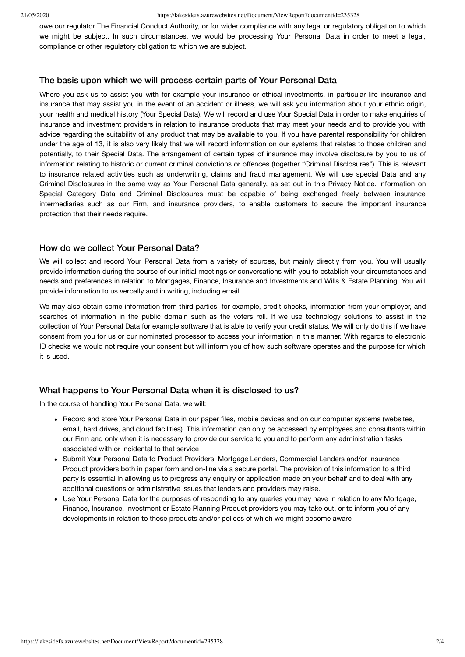#### 21/05/2020 https://lakesidefs.azurewebsites.net/Document/ViewReport?documentid=235328

owe our regulator The Financial Conduct Authority, or for wider compliance with any legal or regulatory obligation to which we might be subject. In such circumstances, we would be processing Your Personal Data in order to meet a legal, compliance or other regulatory obligation to which we are subject.

### The basis upon which we will process certain parts of Your Personal Data

Where you ask us to assist you with for example your insurance or ethical investments, in particular life insurance and insurance that may assist you in the event of an accident or illness, we will ask you information about your ethnic origin, your health and medical history (Your Special Data). We will record and use Your Special Data in order to make enquiries of insurance and investment providers in relation to insurance products that may meet your needs and to provide you with advice regarding the suitability of any product that may be available to you. If you have parental responsibility for children under the age of 13, it is also very likely that we will record information on our systems that relates to those children and potentially, to their Special Data. The arrangement of certain types of insurance may involve disclosure by you to us of information relating to historic or current criminal convictions or offences (together "Criminal Disclosures"). This is relevant to insurance related activities such as underwriting, claims and fraud management. We will use special Data and any Criminal Disclosures in the same way as Your Personal Data generally, as set out in this Privacy Notice. Information on Special Category Data and Criminal Disclosures must be capable of being exchanged freely between insurance intermediaries such as our Firm, and insurance providers, to enable customers to secure the important insurance protection that their needs require.

### How do we collect Your Personal Data?

We will collect and record Your Personal Data from a variety of sources, but mainly directly from you. You will usually provide information during the course of our initial meetings or conversations with you to establish your circumstances and needs and preferences in relation to Mortgages, Finance, Insurance and Investments and Wills & Estate Planning. You will provide information to us verbally and in writing, including email.

We may also obtain some information from third parties, for example, credit checks, information from your employer, and searches of information in the public domain such as the voters roll. If we use technology solutions to assist in the collection of Your Personal Data for example software that is able to verify your credit status. We will only do this if we have consent from you for us or our nominated processor to access your information in this manner. With regards to electronic ID checks we would not require your consent but will inform you of how such software operates and the purpose for which it is used.

## What happens to Your Personal Data when it is disclosed to us?

In the course of handling Your Personal Data, we will:

- Record and store Your Personal Data in our paper files, mobile devices and on our computer systems (websites, email, hard drives, and cloud facilities). This information can only be accessed by employees and consultants within our Firm and only when it is necessary to provide our service to you and to perform any administration tasks associated with or incidental to that service
- Submit Your Personal Data to Product Providers, Mortgage Lenders, Commercial Lenders and/or Insurance Product providers both in paper form and on-line via a secure portal. The provision of this information to a third party is essential in allowing us to progress any enquiry or application made on your behalf and to deal with any additional questions or administrative issues that lenders and providers may raise.
- Use Your Personal Data for the purposes of responding to any queries you may have in relation to any Mortgage, Finance, Insurance, Investment or Estate Planning Product providers you may take out, or to inform you of any developments in relation to those products and/or polices of which we might become aware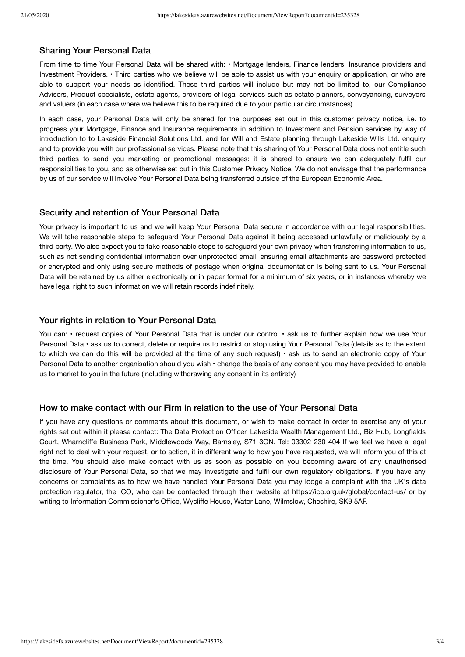### Sharing Your Personal Data

From time to time Your Personal Data will be shared with: • Mortgage lenders, Finance lenders, Insurance providers and Investment Providers. • Third parties who we believe will be able to assist us with your enquiry or application, or who are able to support your needs as identified. These third parties will include but may not be limited to, our Compliance Advisers, Product specialists, estate agents, providers of legal services such as estate planners, conveyancing, surveyors and valuers (in each case where we believe this to be required due to your particular circumstances).

In each case, your Personal Data will only be shared for the purposes set out in this customer privacy notice, i.e. to progress your Mortgage, Finance and Insurance requirements in addition to Investment and Pension services by way of introduction to to Lakeside Financial Solutions Ltd. and for Will and Estate planning through Lakeside Wills Ltd. enquiry and to provide you with our professional services. Please note that this sharing of Your Personal Data does not entitle such third parties to send you marketing or promotional messages: it is shared to ensure we can adequately fulfil our responsibilities to you, and as otherwise set out in this Customer Privacy Notice. We do not envisage that the performance by us of our service will involve Your Personal Data being transferred outside of the European Economic Area.

#### Security and retention of Your Personal Data

Your privacy is important to us and we will keep Your Personal Data secure in accordance with our legal responsibilities. We will take reasonable steps to safeguard Your Personal Data against it being accessed unlawfully or maliciously by a third party. We also expect you to take reasonable steps to safeguard your own privacy when transferring information to us, such as not sending confidential information over unprotected email, ensuring email attachments are password protected or encrypted and only using secure methods of postage when original documentation is being sent to us. Your Personal Data will be retained by us either electronically or in paper format for a minimum of six years, or in instances whereby we have legal right to such information we will retain records indefinitely.

### Your rights in relation to Your Personal Data

You can: • request copies of Your Personal Data that is under our control • ask us to further explain how we use Your Personal Data • ask us to correct, delete or require us to restrict or stop using Your Personal Data (details as to the extent to which we can do this will be provided at the time of any such request) • ask us to send an electronic copy of Your Personal Data to another organisation should you wish  $\cdot$  change the basis of any consent you may have provided to enable us to market to you in the future (including withdrawing any consent in its entirety)

### How to make contact with our Firm in relation to the use of Your Personal Data

If you have any questions or comments about this document, or wish to make contact in order to exercise any of your rights set out within it please contact: The Data Protection Officer, Lakeside Wealth Management Ltd., Biz Hub, Longfields Court, Wharncliffe Business Park, Middlewoods Way, Barnsley, S71 3GN. Tel: 03302 230 404 If we feel we have a legal right not to deal with your request, or to action, it in different way to how you have requested, we will inform you of this at the time. You should also make contact with us as soon as possible on you becoming aware of any unauthorised disclosure of Your Personal Data, so that we may investigate and fulfil our own regulatory obligations. If you have any concerns or complaints as to how we have handled Your Personal Data you may lodge a complaint with the UK's data protection regulator, the ICO, who can be contacted through their website at https://ico.org.uk/global/contact-us/ or by writing to Information Commissioner's Office, Wycliffe House, Water Lane, Wilmslow, Cheshire, SK9 5AF.